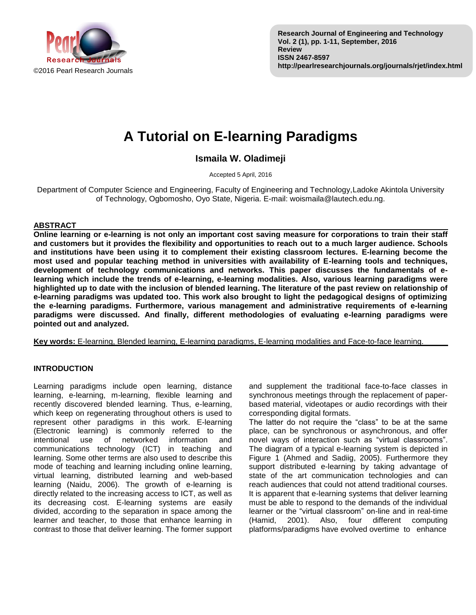

# **A Tutorial on E-learning Paradigms**

# **Ismaila W. Oladimeji**

Accepted 5 April, 2016

Department of Computer Science and Engineering, Faculty of Engineering and Technology,Ladoke Akintola University of Technology, Ogbomosho, Oyo State, Nigeria. E-mail: woismaila@lautech.edu.ng.

# **ABSTRACT**

**Online learning or e-learning is not only an important cost saving measure for corporations to train their staff and customers but it provides the flexibility and opportunities to reach out to a much larger audience. Schools and institutions have been using it to complement their existing classroom lectures. E-learning become the most used and popular teaching method in universities with availability of E-learning tools and techniques, development of technology communications and networks. This paper discusses the fundamentals of elearning which include the trends of e-learning, e-learning modalities. Also, various learning paradigms were highlighted up to date with the inclusion of blended learning. The literature of the past review on relationship of e-learning paradigms was updated too. This work also brought to light the pedagogical designs of optimizing the e-learning paradigms. Furthermore, various management and administrative requirements of e-learning paradigms were discussed. And finally, different methodologies of evaluating e-learning paradigms were pointed out and analyzed.**

**Key words:** E-learning, Blended learning, E-learning paradigms, E-learning modalities and Face-to-face learning.

# **INTRODUCTION**

Learning paradigms include open learning, distance learning, e-learning, m-learning, flexible learning and recently discovered blended learning. Thus, e-learning, which keep on regenerating throughout others is used to represent other paradigms in this work. E-learning (Electronic learning) is commonly referred to the intentional use of networked information and communications technology (ICT) in teaching and learning. Some other terms are also used to describe this mode of teaching and learning including online learning, virtual learning, distributed learning and web-based learning (Naidu, 2006). The growth of e-learning is directly related to the increasing access to ICT, as well as its decreasing cost. E-learning systems are easily divided, according to the separation in space among the learner and teacher, to those that enhance learning in contrast to those that deliver learning. The former support and supplement the traditional face-to-face classes in synchronous meetings through the replacement of paperbased material, videotapes or audio recordings with their corresponding digital formats.

The latter do not require the "class" to be at the same place, can be synchronous or asynchronous, and offer novel ways of interaction such as "virtual classrooms". The diagram of a typical e-learning system is depicted in Figure 1 (Ahmed and Sadiig, 2005). Furthermore they support distributed e-learning by taking advantage of state of the art communication technologies and can reach audiences that could not attend traditional courses. It is apparent that e-learning systems that deliver learning must be able to respond to the demands of the individual learner or the "virtual classroom" on-line and in real-time (Hamid, 2001). Also, four different computing platforms/paradigms have evolved overtime to enhance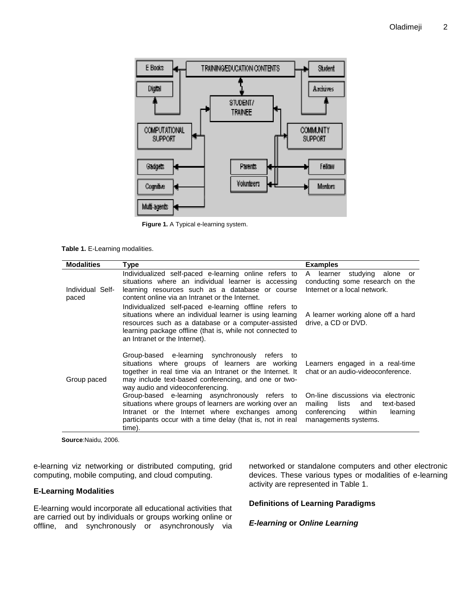

**Figure 1.** A Typical e-learning system.

| Table 1. E-Learning modalities. |  |
|---------------------------------|--|
|---------------------------------|--|

| <b>Modalities</b>         | Type                                                                                                                                                                                                                                                                    | <b>Examples</b>                                                                                                                        |
|---------------------------|-------------------------------------------------------------------------------------------------------------------------------------------------------------------------------------------------------------------------------------------------------------------------|----------------------------------------------------------------------------------------------------------------------------------------|
| Individual Self-<br>paced | Individualized self-paced e-learning online refers to<br>situations where an individual learner is accessing<br>learning resources such as a database or course<br>content online via an Intranet or the Internet.                                                      | studying alone or<br>learner<br>A<br>conducting some research on the<br>Internet or a local network.                                   |
|                           | Individualized self-paced e-learning offline refers to<br>situations where an individual learner is using learning<br>resources such as a database or a computer-assisted<br>learning package offline (that is, while not connected to<br>an Intranet or the Internet). | A learner working alone off a hard<br>drive, a CD or DVD.                                                                              |
| Group paced               | Group-based e-learning synchronously refers to<br>situations where groups of learners are working<br>together in real time via an Intranet or the Internet. It<br>may include text-based conferencing, and one or two-<br>way audio and videoconferencing.              | Learners engaged in a real-time<br>chat or an audio-videoconference.                                                                   |
|                           | Group-based e-learning asynchronously refers to<br>situations where groups of learners are working over an<br>Intranet or the Internet where exchanges among<br>participants occur with a time delay (that is, not in real<br>time).                                    | On-line discussions via electronic<br>mailing lists<br>and<br>text-based<br>conferencing<br>within<br>learning<br>managements systems. |

**Source**:Naidu, 2006.

e-learning viz networking or distributed computing, grid computing, mobile computing, and cloud computing.

# **E-Learning Modalities**

E-learning would incorporate all educational activities that are carried out by individuals or groups working online or offline, and synchronously or asynchronously via networked or standalone computers and other electronic devices. These various types or modalities of e-learning activity are represented in Table 1.

## **Definitions of Learning Paradigms**

#### *E-learning* **or** *Online Learning*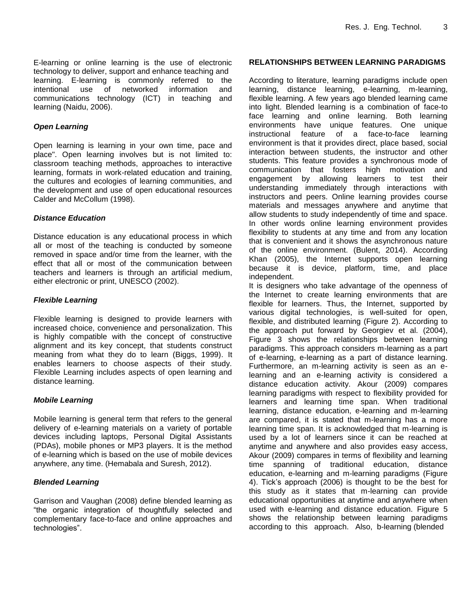E-learning or online learning is the use of electronic technology to deliver, support and enhance teaching and learning. E-learning is commonly referred to the intentional use of networked information and communications technology (ICT) in teaching and learning (Naidu, 2006).

# *Open Learning*

Open learning is learning in your own time, pace and place". Open learning involves but is not limited to: classroom teaching methods, approaches to interactive learning, formats in work-related education and training, the cultures and ecologies of learning communities, and the development and use of [open educational resources](https://en.wikipedia.org/wiki/Open_educational_resources) Calder and McCollum (1998).

# *Distance Education*

Distance education is any educational process in which all or most of the teaching is conducted by someone removed in space and/or time from the learner, with the effect that all or most of the communication between teachers and learners is through an artificial medium, either electronic or print, UNESCO (2002).

# *Flexible Learning*

Flexible learning is designed to provide learners with increased choice, convenience and personalization. This is highly compatible with the concept of constructive alignment and its key concept, that students construct meaning from what they do to learn (Biggs, 1999). It enables learners to choose aspects of their study. Flexible Learning includes aspects of open learning and distance learning.

## *Mobile Learning*

Mobile learning is general term that refers to the general delivery of e-learning materials on a variety of portable devices including laptops, Personal Digital Assistants (PDAs), mobile phones or MP3 players. It is the method of e-learning which is based on the use of mobile devices anywhere, any time. (Hemabala and Suresh, 2012).

# *Blended Learning*

Garrison and Vaughan (2008) define blended learning as "the organic integration of thoughtfully selected and complementary face-to-face and online approaches and technologies".

## **RELATIONSHIPS BETWEEN LEARNING PARADIGMS**

According to literature, learning paradigms include open learning, distance learning, e-learning, m-learning, flexible learning. A few years ago blended learning came into light. Blended learning is a combination of face-to face learning and online learning. Both learning environments have unique features. One unique instructional feature of a face-to-face learning environment is that it provides direct, place based, social interaction between students, the instructor and other students. This feature provides a synchronous mode of communication that fosters high motivation and engagement by allowing learners to test their understanding immediately through interactions with instructors and peers. Online learning provides course materials and messages anywhere and anytime that allow students to study independently of time and space. In other words online learning environment provides flexibility to students at any time and from any location that is convenient and it shows the asynchronous nature of the online environment. (Bulent, 2014). According Khan (2005), the Internet supports open learning because it is device, platform, time, and place independent.

It is designers who take advantage of the openness of the Internet to create learning environments that are flexible for learners. Thus, the Internet, supported by various digital technologies, is well-suited for open, flexible, and distributed learning (Figure 2). According to the approach put forward by Georgiev et al. (2004), Figure 3 shows the relationships between learning paradigms. This approach considers m-learning as a part of e-learning, e-learning as a part of distance learning. Furthermore, an m-learning activity is seen as an elearning and an e-learning activity is considered a distance education activity. Akour (2009) compares learning paradigms with respect to flexibility provided for learners and learning time span. When traditional learning, distance education, e-learning and m-learning are compared, it is stated that m-learning has a more learning time span. It is acknowledged that m-learning is used by a lot of learners since it can be reached at anytime and anywhere and also provides easy access, Akour (2009) compares in terms of flexibility and learning time spanning of traditional education, distance education, e-learning and m-learning paradigms (Figure 4). Tick"s approach (2006) is thought to be the best for this study as it states that m-learning can provide educational opportunities at anytime and anywhere when used with e-learning and distance education. Figure 5 shows the relationship between learning paradigms according to this approach. Also, b-learning (blended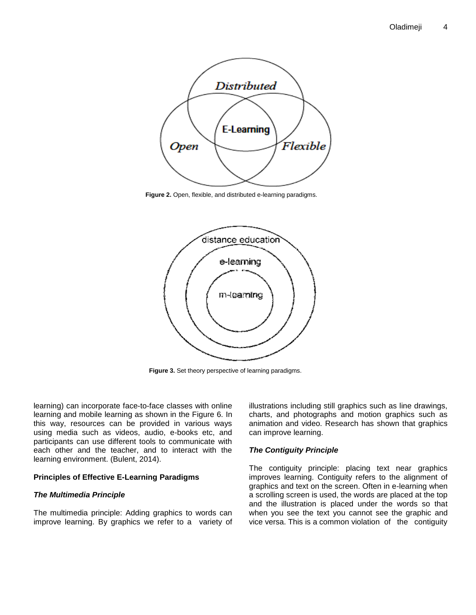

**Figure 2.** Open, flexible, and distributed e-learning paradigms.



**Figure 3.** Set theory perspective of learning paradigms.

learning) can incorporate face-to-face classes with online learning and mobile learning as shown in the Figure 6. In this way, resources can be provided in various ways using media such as videos, audio, e-books etc, and participants can use different tools to communicate with each other and the teacher, and to interact with the learning environment. (Bulent, 2014).

#### **Principles of Effective E-Learning Paradigms**

#### *The Multimedia Principle*

The multimedia principle: Adding graphics to words can improve learning. By graphics we refer to a variety of

illustrations including still graphics such as line drawings, charts, and photographs and motion graphics such as animation and video. Research has shown that graphics can improve learning.

## *The Contiguity Principle*

The contiguity principle: placing text near graphics improves learning. Contiguity refers to the alignment of graphics and text on the screen. Often in e-learning when a scrolling screen is used, the words are placed at the top and the illustration is placed under the words so that when you see the text you cannot see the graphic and vice versa. This is a common violation of the contiguity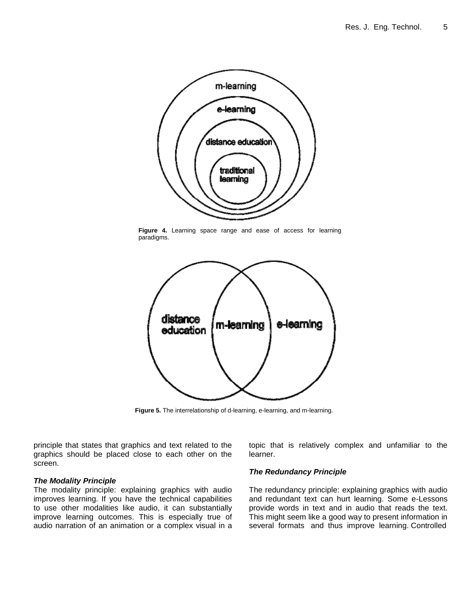

**Figure 4.** Learning space range and ease of access for learning paradigms.



**Figure 5.** The interrelationship of d-learning, e-learning, and m-learning.

principle that states that graphics and text related to the graphics should be placed close to each other on the screen.

#### *The Modality Principle*

The modality principle: explaining graphics with audio improves learning. If you have the technical capabilities to use other modalities like audio, it can substantially improve learning outcomes. This is especially true of audio narration of an animation or a complex visual in a topic that is relatively complex and unfamiliar to the learner.

#### *The Redundancy Principle*

The redundancy principle: explaining graphics with audio and redundant text can hurt learning. Some e-Lessons provide words in text and in audio that reads the text. This might seem like a good way to present information in several formats and thus improve learning. Controlled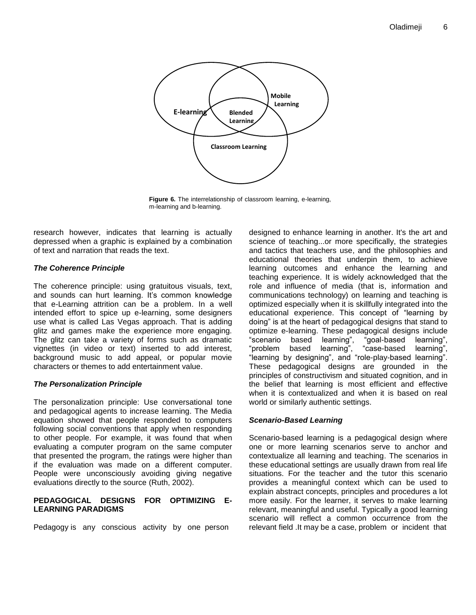

**Figure 6.** The interrelationship of classroom learning, e-learning, m-learning and b-learning.

research however, indicates that learning is actually depressed when a graphic is explained by a combination of text and narration that reads the text.

# *The Coherence Principle*

The coherence principle: using gratuitous visuals, text, and sounds can hurt learning. It's common knowledge that e-Learning attrition can be a problem. In a well intended effort to spice up e-learning, some designers use what is called Las Vegas approach. That is adding glitz and games make the experience more engaging. The glitz can take a variety of forms such as dramatic vignettes (in video or text) inserted to add interest, background music to add appeal, or popular movie characters or themes to add entertainment value.

# *The Personalization Principle*

The personalization principle: Use conversational tone and pedagogical agents to increase learning. The Media equation showed that people responded to computers following social conventions that apply when responding to other people. For example, it was found that when evaluating a computer program on the same computer that presented the program, the ratings were higher than if the evaluation was made on a different computer. People were unconsciously avoiding giving negative evaluations directly to the source (Ruth, 2002).

## **PEDAGOGICAL DESIGNS FOR OPTIMIZING E-LEARNING PARADIGMS**

Pedagogy is any conscious activity by one person

designed to enhance learning in another. It's the art and science of teaching...or more specifically, the strategies and tactics that teachers use, and the philosophies and educational theories that underpin them, to achieve learning outcomes and enhance the learning and teaching experience. It is widely acknowledged that the role and influence of media (that is, information and communications technology) on learning and teaching is optimized especially when it is skillfully integrated into the educational experience. This concept of "learning by doing" is at the heart of pedagogical designs that stand to optimize e-learning. These pedagogical designs include "scenario based learning", "goal-based learning", "scenario based learning", "goal-based learning",<br>"problem based learning", "case-based learning", "learning by designing", and "role-play-based learning". These pedagogical designs are grounded in the principles of constructivism and situated cognition, and in the belief that learning is most efficient and effective when it is contextualized and when it is based on real world or similarly authentic settings.

# *Scenario-Based Learning*

Scenario-based learning is a pedagogical design where one or more learning scenarios serve to anchor and contextualize all learning and teaching. The scenarios in these educational settings are usually drawn from real life situations. For the teacher and the tutor this scenario provides a meaningful context which can be used to explain abstract concepts, principles and procedures a lot more easily. For the learner, it serves to make learning relevant, meaningful and useful. Typically a good learning scenario will reflect a common occurrence from the relevant field .It may be a case, problem or incident that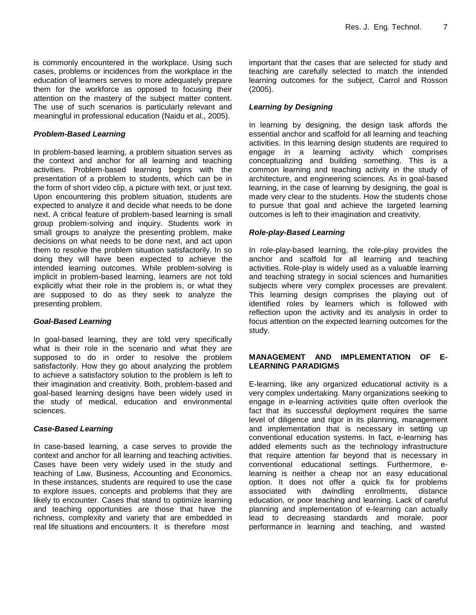is commonly encountered in the workplace. Using such cases, problems or incidences from the workplace in the education of learners serves to more adequately prepare them for the workforce as opposed to focusing their attention on the mastery of the subject matter content. The use of such scenarios is particularly relevant and meaningful in professional education (Naidu et al., 2005).

#### *Problem-Based Learning*

In problem-based learning, a problem situation serves as the context and anchor for all learning and teaching activities. Problem-based learning begins with the presentation of a problem to students, which can be in the form of short video clip, a picture with text, or just text. Upon encountering this problem situation, students are expected to analyze it and decide what needs to be done next. A critical feature of problem-based learning is small group problem-solving and inquiry. Students work in small groups to analyze the presenting problem, make decisions on what needs to be done next, and act upon them to resolve the problem situation satisfactorily. In so doing they will have been expected to achieve the intended learning outcomes. While problem-solving is implicit in problem-based learning, learners are not told explicitly what their role in the problem is, or what they are supposed to do as they seek to analyze the presenting problem.

#### *Goal-Based Learning*

In goal-based learning, they are told very specifically what is their role in the scenario and what they are supposed to do in order to resolve the problem satisfactorily. How they go about analyzing the problem to achieve a satisfactory solution to the problem is left to their imagination and creativity. Both, problem-based and goal-based learning designs have been widely used in the study of medical, education and environmental sciences.

## *Case-Based Learning*

In case-based learning, a case serves to provide the context and anchor for all learning and teaching activities. Cases have been very widely used in the study and teaching of Law, Business, Accounting and Economics. In these instances, students are required to use the case to explore issues, concepts and problems that they are likely to encounter. Cases that stand to optimize learning and teaching opportunities are those that have the richness, complexity and variety that are embedded in real life situations and encounters. It is therefore most

important that the cases that are selected for study and teaching are carefully selected to match the intended learning outcomes for the subject, Carrol and Rosson (2005).

## *Learning by Designing*

In learning by designing, the design task affords the essential anchor and scaffold for all learning and teaching activities. In this learning design students are required to engage in a learning activity which comprises conceptualizing and building something. This is a common learning and teaching activity in the study of architecture, and engineering sciences. As in goal-based learning, in the case of learning by designing, the goal is made very clear to the students. How the students chose to pursue that goal and achieve the targeted learning outcomes is left to their imagination and creativity.

#### *Role-play-Based Learning*

In role-play-based learning, the role-play provides the anchor and scaffold for all learning and teaching activities. Role-play is widely used as a valuable learning and teaching strategy in social sciences and humanities subjects where very complex processes are prevalent. This learning design comprises the playing out of identified roles by learners which is followed with reflection upon the activity and its analysis in order to focus attention on the expected learning outcomes for the study.

## **MANAGEMENT AND IMPLEMENTATION OF E-LEARNING PARADIGMS**

E-learning, like any organized educational activity is a very complex undertaking. Many organizations seeking to engage in e-learning activities quite often overlook the fact that its successful deployment requires the same level of diligence and rigor in its planning, management and implementation that is necessary in setting up conventional education systems. In fact, e-learning has added elements such as the technology infrastructure that require attention far beyond that is necessary in conventional educational settings. Furthermore, elearning is neither a cheap nor an easy educational option. It does not offer a quick fix for problems associated with dwindling enrollments, distance education, or poor teaching and learning. Lack of careful planning and implementation of e-learning can actually lead to decreasing standards and morale, poor performance in learning and teaching, and wasted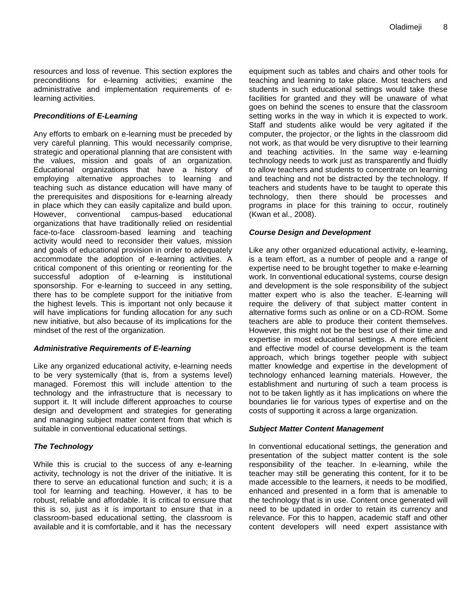resources and loss of revenue. This section explores the preconditions for e-learning activities; examine the administrative and implementation requirements of elearning activities.

## *Preconditions of E-Learning*

Any efforts to embark on e-learning must be preceded by very careful planning. This would necessarily comprise, strategic and operational planning that are consistent with the values, mission and goals of an organization. Educational organizations that have a history of employing alternative approaches to learning and teaching such as distance education will have many of the prerequisites and dispositions for e-learning already in place which they can easily capitalize and build upon. However, conventional campus-based educational organizations that have traditionally relied on residential face-to-face classroom-based learning and teaching activity would need to reconsider their values, mission and goals of educational provision in order to adequately accommodate the adoption of e-learning activities. A critical component of this orienting or reorienting for the successful adoption of e-learning is institutional sponsorship. For e-learning to succeed in any setting, there has to be complete support for the initiative from the highest levels. This is important not only because it will have implications for funding allocation for any such new initiative, but also because of its implications for the mindset of the rest of the organization.

## *Administrative Requirements of E-learning*

Like any organized educational activity, e-learning needs to be very systemically (that is, from a systems level) managed. Foremost this will include attention to the technology and the infrastructure that is necessary to support it. It will include different approaches to course design and development and strategies for generating and managing subject matter content from that which is suitable in conventional educational settings.

## *The Technology*

While this is crucial to the success of any e-learning activity, technology is not the driver of the initiative. It is there to serve an educational function and such; it is a tool for learning and teaching. However, it has to be robust, reliable and affordable. It is critical to ensure that this is so, just as it is important to ensure that in a classroom-based educational setting, the classroom is available and it is comfortable, and it has the necessary equipment such as tables and chairs and other tools for teaching and learning to take place. Most teachers and students in such educational settings would take these facilities for granted and they will be unaware of what goes on behind the scenes to ensure that the classroom setting works in the way in which it is expected to work. Staff and students alike would be very agitated if the computer, the projector, or the lights in the classroom did not work, as that would be very disruptive to their learning and teaching activities. In the same way e-learning technology needs to work just as transparently and fluidly to allow teachers and students to concentrate on learning and teaching and not be distracted by the technology. If teachers and students have to be taught to operate this technology, then there should be processes and programs in place for this training to occur, routinely (Kwan et al., 2008).

#### *Course Design and Development*

Like any other organized educational activity, e-learning, is a team effort, as a number of people and a range of expertise need to be brought together to make e-learning work. In conventional educational systems, course design and development is the sole responsibility of the subject matter expert who is also the teacher. E-learning will require the delivery of that subject matter content in alternative forms such as online or on a CD-ROM. Some teachers are able to produce their content themselves. However, this might not be the best use of their time and expertise in most educational settings. A more efficient and effective model of course development is the team approach, which brings together people with subject matter knowledge and expertise in the development of technology enhanced learning materials. However, the establishment and nurturing of such a team process is not to be taken lightly as it has implications on where the boundaries lie for various types of expertise and on the costs of supporting it across a large organization.

#### *Subject Matter Content Management*

In conventional educational settings, the generation and presentation of the subject matter content is the sole responsibility of the teacher. In e-learning, while the teacher may still be generating this content, for it to be made accessible to the learners, it needs to be modified, enhanced and presented in a form that is amenable to the technology that is in use. Content once generated will need to be updated in order to retain its currency and relevance. For this to happen, academic staff and other content developers will need expert assistance with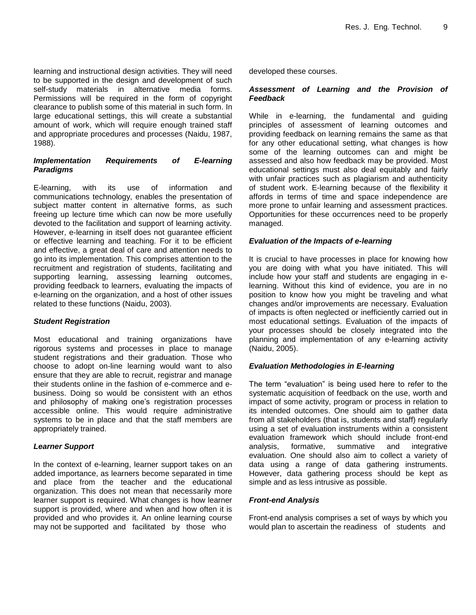learning and instructional design activities. They will need to be supported in the design and development of such self-study materials in alternative media forms. Permissions will be required in the form of copyright clearance to publish some of this material in such form. In large educational settings, this will create a substantial amount of work, which will require enough trained staff and appropriate procedures and processes (Naidu, 1987, 1988).

## *Implementation Requirements of E-learning Paradigms*

E-learning, with its use of information and communications technology, enables the presentation of subject matter content in alternative forms, as such freeing up lecture time which can now be more usefully devoted to the facilitation and support of learning activity. However, e-learning in itself does not guarantee efficient or effective learning and teaching. For it to be efficient and effective, a great deal of care and attention needs to go into its implementation. This comprises attention to the recruitment and registration of students, facilitating and supporting learning, assessing learning outcomes, providing feedback to learners, evaluating the impacts of e-learning on the organization, and a host of other issues related to these functions (Naidu, 2003).

# *Student Registration*

Most educational and training organizations have rigorous systems and processes in place to manage student registrations and their graduation. Those who choose to adopt on-line learning would want to also ensure that they are able to recruit, registrar and manage their students online in the fashion of e-commerce and ebusiness. Doing so would be consistent with an ethos and philosophy of making one's registration processes accessible online. This would require administrative systems to be in place and that the staff members are appropriately trained.

## *Learner Support*

In the context of e-learning, learner support takes on an added importance, as learners become separated in time and place from the teacher and the educational organization. This does not mean that necessarily more learner support is required. What changes is how learner support is provided, where and when and how often it is provided and who provides it. An online learning course may not be supported and facilitated by those who

developed these courses.

#### *Assessment of Learning and the Provision of Feedback*

While in e-learning, the fundamental and guiding principles of assessment of learning outcomes and providing feedback on learning remains the same as that for any other educational setting, what changes is how some of the learning outcomes can and might be assessed and also how feedback may be provided. Most educational settings must also deal equitably and fairly with unfair practices such as plagiarism and authenticity of student work. E-learning because of the flexibility it affords in terms of time and space independence are more prone to unfair learning and assessment practices. Opportunities for these occurrences need to be properly managed.

# *Evaluation of the Impacts of e-learning*

It is crucial to have processes in place for knowing how you are doing with what you have initiated. This will include how your staff and students are engaging in elearning. Without this kind of evidence, you are in no position to know how you might be traveling and what changes and/or improvements are necessary. Evaluation of impacts is often neglected or inefficiently carried out in most educational settings. Evaluation of the impacts of your processes should be closely integrated into the planning and implementation of any e-learning activity (Naidu, 2005).

## *Evaluation Methodologies in E-learning*

The term "evaluation" is being used here to refer to the systematic acquisition of feedback on the use, worth and impact of some activity, program or process in relation to its intended outcomes. One should aim to gather data from all stakeholders (that is, students and staff) regularly using a set of evaluation instruments within a consistent evaluation framework which should include front-end analysis, formative, summative and integrative evaluation. One should also aim to collect a variety of data using a range of data gathering instruments. However, data gathering process should be kept as simple and as less intrusive as possible.

## *Front-end Analysis*

Front-end analysis comprises a set of ways by which you would plan to ascertain the readiness of students and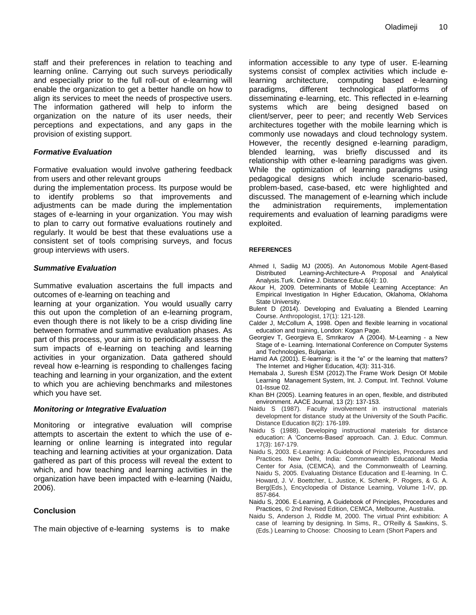staff and their preferences in relation to teaching and learning online. Carrying out such surveys periodically and especially prior to the full roll-out of e-learning will enable the organization to get a better handle on how to align its services to meet the needs of prospective users. The information gathered will help to inform the organization on the nature of its user needs, their perceptions and expectations, and any gaps in the provision of existing support.

#### *Formative Evaluation*

Formative evaluation would involve gathering feedback from users and other relevant groups

during the implementation process. Its purpose would be to identify problems so that improvements and adjustments can be made during the implementation stages of e-learning in your organization. You may wish to plan to carry out formative evaluations routinely and regularly. It would be best that these evaluations use a consistent set of tools comprising surveys, and focus group interviews with users.

#### *Summative Evaluation*

Summative evaluation ascertains the full impacts and outcomes of e-learning on teaching and

learning at your organization. You would usually carry this out upon the completion of an e-learning program, even though there is not likely to be a crisp dividing line between formative and summative evaluation phases. As part of this process, your aim is to periodically assess the sum impacts of e-learning on teaching and learning activities in your organization. Data gathered should reveal how e-learning is responding to challenges facing teaching and learning in your organization, and the extent to which you are achieving benchmarks and milestones which you have set.

#### *Monitoring or Integrative Evaluation*

Monitoring or integrative evaluation will comprise attempts to ascertain the extent to which the use of elearning or online learning is integrated into regular teaching and learning activities at your organization. Data gathered as part of this process will reveal the extent to which, and how teaching and learning activities in the organization have been impacted with e-learning (Naidu, 2006).

## **Conclusion**

The main objective of e-learning systems is to make

information accessible to any type of user. E-learning systems consist of complex activities which include elearning architecture, computing based e-learning paradigms, different technological platforms of disseminating e-learning, etc. This reflected in e-learning systems which are being designed based on client/server, peer to peer; and recently Web Services architectures together with the mobile learning which is commonly use nowadays and cloud technology system. However, the recently designed e-learning paradigm, blended learning, was briefly discussed and its relationship with other e-learning paradigms was given. While the optimization of learning paradigms using pedagogical designs which include scenario-based, problem-based, case-based, etc were highlighted and discussed. The management of e-learning which include the administration requirements, implementation requirements and evaluation of learning paradigms were exploited.

#### **REFERENCES**

- Ahmed I, Sadiig MJ (2005). An Autonomous Mobile Agent-Based Distributed Learning-Architecture-A Proposal and Analytical Analysis.Turk. Online J. Distance Educ.6(4): 10.
- Akour H, 2009. Determinants of Mobile Learning Acceptance: An Empirical Investigation In Higher Education, Oklahoma, Oklahoma State University.
- Bulent D (2014). Developing and Evaluating a Blended Learning Course. Anthropologist, 17(1): 121-128.
- Calder J, McCollum A, 1998. Open and flexible learning in vocational education and training, London: Kogan Page.
- Georgiev T, Georgieva E, Smrikarov A (2004). M-Learning a New Stage of e- Learning. International Conference on Computer Systems and Technologies, Bulgarian.
- Hamid AA (2001). E-learning: is it the "e" or the learning that matters? The Internet and Higher Education, 4(3): 311-316.
- Hemabala J, Suresh ESM (2012).The Frame Work Design Of Mobile Learning Management System, Int. J. Comput. Inf. Technol. Volume 01-Issue 02.
- Khan BH (2005). Learning features in an open, flexible, and distributed environment. AACE Journal, 13 (2): 137-153.
- Naidu S (1987). Faculty involvement in instructional materials development for distance study at the University of the South Pacific. Distance Education 8(2): 176-189.
- Naidu S (1988). Developing instructional materials for distance education: A "Concerns-Based" approach. Can. J. Educ. Commun. 17(3): 167-179.
- Naidu S, 2003. E-Learning: A Guidebook of Principles, Procedures and Practices. New Delhi, India: Commonwealth Educational Media Center for Asia, (CEMCA), and the Commonwealth of Learning. Naidu S, 2005. Evaluating Distance Education and E-learning. In C. Howard, J. V. Boettcher, L. Justice, K. Schenk, P. Rogers, & G. A. Berg(Eds.), Encyclopedia of Distance Learning, Volume 1-IV, pp. 857-864.
- Naidu S, 2006. E-Learning, A Guidebook of Principles, Procedures and Practices, © 2nd Revised Edition, CEMCA, Melbourne, Australia.
- Naidu S, Anderson J, Riddle M, 2000. The virtual Print exhibition: A case of learning by designing. In Sims, R., O'Reilly & Sawkins, S. (Eds.) Learning to Choose: Choosing to Learn (Short Papers and